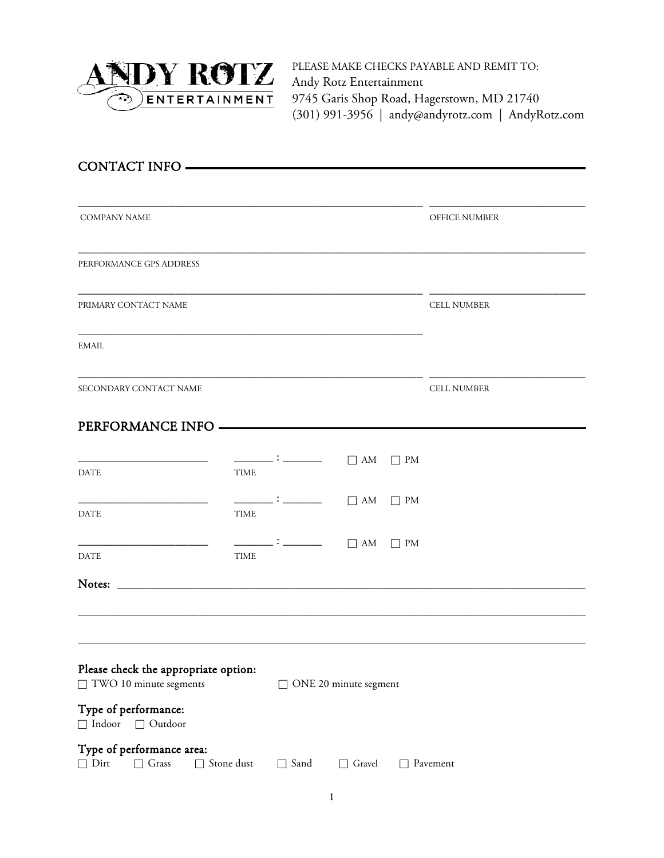

PLEASE MAKE CHECKS PAYABLE AND REMIT TO: Andy Rotz Entertainment 9745 Garis Shop Road, Hagerstown, MD 21740 (301) 991-3956 | [andy@andyrotz.com](mailto:andy@andyrotz.com) | [AndyRotz.com](http://www.andyrotz.com/)

| CONTACT INFO                                                                  |             |                                                                                                                                                                                                                                                                                                                                                     |                       |           |                    |
|-------------------------------------------------------------------------------|-------------|-----------------------------------------------------------------------------------------------------------------------------------------------------------------------------------------------------------------------------------------------------------------------------------------------------------------------------------------------------|-----------------------|-----------|--------------------|
|                                                                               |             |                                                                                                                                                                                                                                                                                                                                                     |                       |           |                    |
| <b>COMPANY NAME</b>                                                           |             |                                                                                                                                                                                                                                                                                                                                                     |                       |           | OFFICE NUMBER      |
| PERFORMANCE GPS ADDRESS                                                       |             |                                                                                                                                                                                                                                                                                                                                                     |                       |           |                    |
| PRIMARY CONTACT NAME                                                          |             |                                                                                                                                                                                                                                                                                                                                                     |                       |           | <b>CELL NUMBER</b> |
| <b>EMAIL</b>                                                                  |             |                                                                                                                                                                                                                                                                                                                                                     |                       |           |                    |
| SECONDARY CONTACT NAME                                                        |             |                                                                                                                                                                                                                                                                                                                                                     |                       |           | <b>CELL NUMBER</b> |
| PERFORMANCE INFO —————————————                                                |             |                                                                                                                                                                                                                                                                                                                                                     |                       |           |                    |
| <b>DATE</b>                                                                   | <b>TIME</b> | $\begin{picture}(150,10) \put(0,0){\line(1,0){10}} \put(15,0){\line(1,0){10}} \put(15,0){\line(1,0){10}} \put(15,0){\line(1,0){10}} \put(15,0){\line(1,0){10}} \put(15,0){\line(1,0){10}} \put(15,0){\line(1,0){10}} \put(15,0){\line(1,0){10}} \put(15,0){\line(1,0){10}} \put(15,0){\line(1,0){10}} \put(15,0){\line(1,0){10}} \put(15,0){\line($ |                       | $\Box$ PM |                    |
| <u> 1980 - Johann John Stone, mars et al. (</u><br>DATE                       | <b>TIME</b> | $\begin{picture}(150,10) \put(0,0){\line(1,0){10}} \put(15,0){\line(1,0){10}} \put(15,0){\line(1,0){10}} \put(15,0){\line(1,0){10}} \put(15,0){\line(1,0){10}} \put(15,0){\line(1,0){10}} \put(15,0){\line(1,0){10}} \put(15,0){\line(1,0){10}} \put(15,0){\line(1,0){10}} \put(15,0){\line(1,0){10}} \put(15,0){\line(1,0){10}} \put(15,0){\line($ |                       | $\Box$ PM |                    |
| <b>DATE</b>                                                                   | <b>TIME</b> | $\begin{picture}(150,10) \put(0,0){\line(1,0){10}} \put(15,0){\line(1,0){10}} \put(15,0){\line(1,0){10}} \put(15,0){\line(1,0){10}} \put(15,0){\line(1,0){10}} \put(15,0){\line(1,0){10}} \put(15,0){\line(1,0){10}} \put(15,0){\line(1,0){10}} \put(15,0){\line(1,0){10}} \put(15,0){\line(1,0){10}} \put(15,0){\line(1,0){10}} \put(15,0){\line($ |                       |           |                    |
| Notes: <u>Alexander Communication</u>                                         |             |                                                                                                                                                                                                                                                                                                                                                     |                       |           |                    |
|                                                                               |             |                                                                                                                                                                                                                                                                                                                                                     |                       |           |                    |
| Please check the appropriate option:<br>TWO 10 minute segments                |             |                                                                                                                                                                                                                                                                                                                                                     | ONE 20 minute segment |           |                    |
| Type of performance:<br>$\Box$ Indoor<br>$\Box$ Outdoor                       |             |                                                                                                                                                                                                                                                                                                                                                     |                       |           |                    |
| Type of performance area:<br>$\Box$ Dirt<br>$\Box$ Grass<br>$\Box$ Stone dust |             | $\Box$ Sand                                                                                                                                                                                                                                                                                                                                         | $\Box$ Gravel         |           | Pavement           |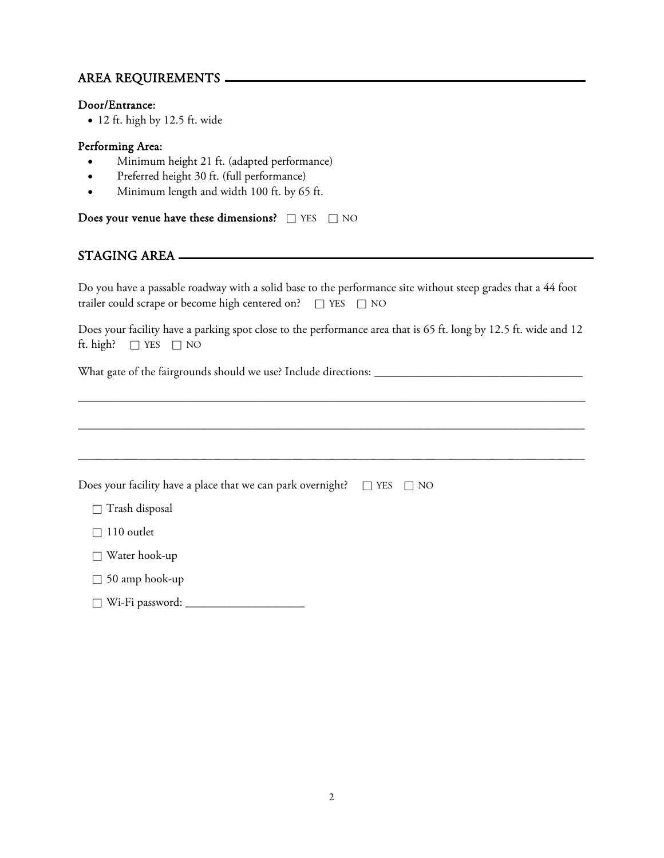## AREA REQUIREMENTS

#### Door/Entrance:

• 12 ft. high by 12.5 ft. wide

#### Performing Area:

- Minimum height 21 ft. (adapted performance)
- Preferred height 30 ft. (full performance)
- Minimum length and width 100 ft. by 65 ft.

Does your venue have these dimensions?  $\Box$  YES  $\Box$  NO

### STAGING AREA

Do you have a passable roadway with a solid base to the performance site without steep grades that a 44 foot trailer could scrape or become high centered on?  $\square$  YES  $\square$  NO

Does your facility have a parking spot close to the performance area that is 65 ft. long by 12.5 ft. wide and 12 ft. high?  $\Box$  YES  $\Box$  NO

\_\_\_\_\_\_\_\_\_\_\_\_\_\_\_\_\_\_\_\_\_\_\_\_\_\_\_\_\_\_\_\_\_\_\_\_\_\_\_\_\_\_\_\_\_\_\_\_\_\_\_\_\_\_\_\_\_\_\_\_\_\_\_\_\_\_\_\_\_\_\_\_\_\_\_\_\_\_

What gate of the fairgrounds should we use? Include directions: \_\_\_\_\_\_\_\_\_\_\_\_\_\_\_\_\_\_\_\_\_\_\_\_\_\_\_\_\_\_\_\_\_\_\_

| Does your facility have a place that we can park overnight?<br>$\Box$ YES $\Box$ NO |  |
|-------------------------------------------------------------------------------------|--|
| Trash disposal<br>П                                                                 |  |
| 110 outlet<br>П                                                                     |  |
| Water hook-up<br>П                                                                  |  |
| $\Box$ 50 amp hook-up                                                               |  |
| Wi-Fi password:                                                                     |  |